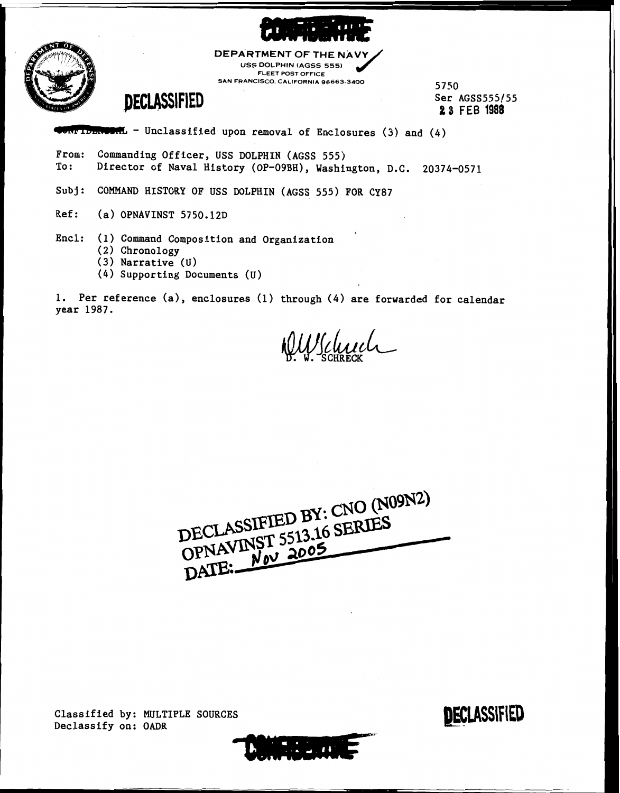



**DEPARTMENT OF THE NA USS DOLPHIN (AGSS 555) FLEET POST OFFICE** /' **SAN FRANCISCO CALIFORNIA 96663-3400** <sup>5750</sup>

### **DECLASSIFIED**

Ser AGSS555/55 **2 3** FEB **1988** 

 $\blacksquare$  - Unclassified upon removal of Enclosures (3) and (4)

From: Commanding Officer, USS DOLPHIN (AGSS 555)<br>To: Director of Naval History (OP-09BH), Washi Director of Naval History (OP-09BH), Washington, D.C. 20374-0571

Subj: COMMAND HISTORY OF USS DOLPHIN (AGSS 555) FOR CY87

Ref: (a) OPNAVINST 5750.12D

Encl: (1) Command Composition and Organization

- (2) Chronology
- (3) Narrative (u)
- (4) Supporting Documents (U)

1. Per reference (a), enclosures (1) through (4) are forwarded for calendar year 1987.

\$!WJL~L- . **W.** SCHRECK

DECLASSIFIED BY: CNO (N09N2) DECLASSIFIED BY: CNO UNO

 $\mathcal{L}(\mathcal{L},\mathbf{u})$ 

Classified by: MULTIPLE SOURCES Declassify on: OADR

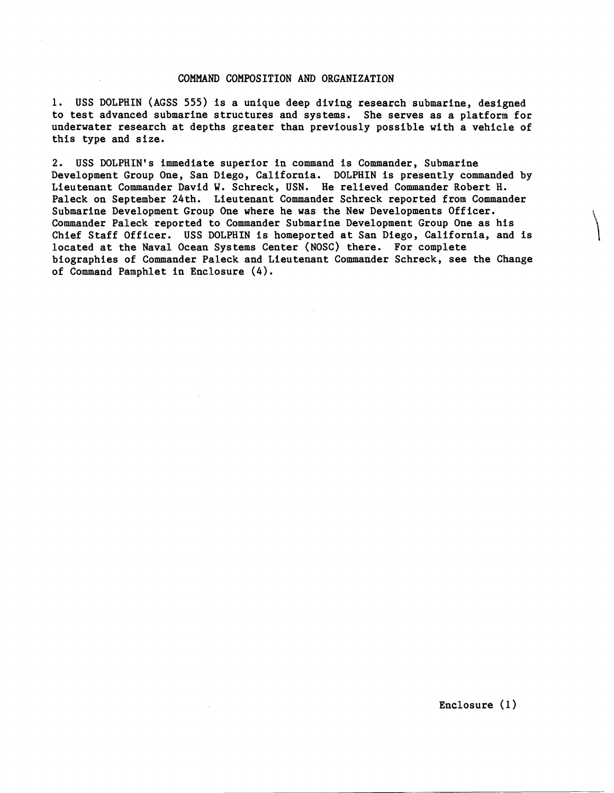#### COMMAND COMPOSITION AND ORGANIZATION

1. USS DOLPHIN (AGSS 555) is a unique deep diving research submarine, designed to test advanced submarine structures and systems. She serves as a platform for underwater research at depths greater than previously possible with a vehicle of this type and size.

2. USS DOLPHIN'S immediate superior in command is Commander, Submarine Development Group One, San Diego, California. DOLPHIN is presently commanded by Lieutenant Commander David W. Schreck, USN. He relieved Commander Robert H. Paleck on September 24th. Lieutenant Commander Schreck reported from Commander Submarine Development Group One where he was the New Developments Officer. Commander Paleck reported to Commander Submarine Development Group One as his Chief Staff Officer. USS DOLPHIN is homeported at San Diego, California, and is located at the Naval Ocean Systems Center (NOSC) there. For complete biographies of Commander Paleck and Lieutenant Commander Schreck, see the Change of Command Pamphlet in Enclosure (4).

Enclosure (1)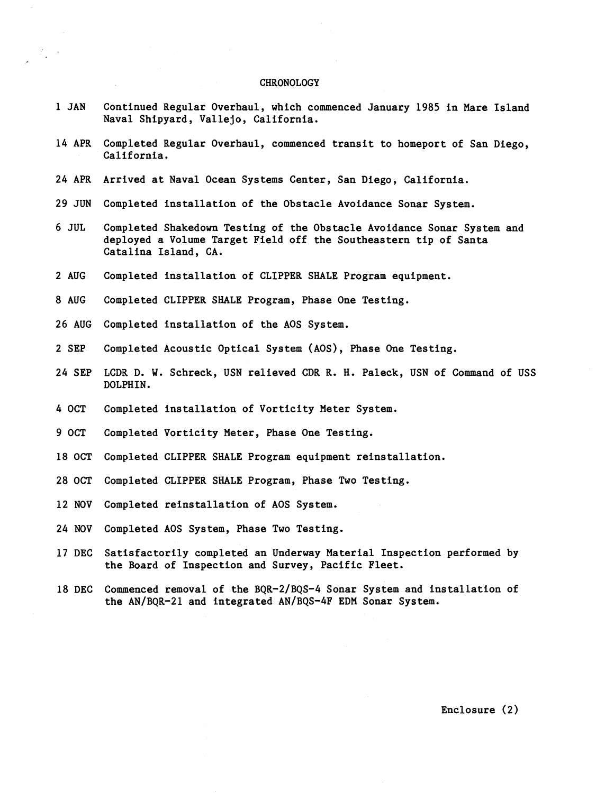#### CHRONOLOGY

 $\ddot{\phantom{0}}$ 

| 1 JAN         | Continued Regular Overhaul, which commenced January 1985 in Mare Island<br>Naval Shipyard, Vallejo, California.                                                    |
|---------------|--------------------------------------------------------------------------------------------------------------------------------------------------------------------|
| 14 APR        | Completed Regular Overhaul, commenced transit to homeport of San Diego,<br>California.                                                                             |
|               | 24 APR Arrived at Naval Ocean Systems Center, San Diego, California.                                                                                               |
| <b>29 JUN</b> | Completed installation of the Obstacle Avoidance Sonar System.                                                                                                     |
| 6 JUL         | Completed Shakedown Testing of the Obstacle Avoidance Sonar System and<br>deployed a Volume Target Field off the Southeastern tip of Santa<br>Catalina Island, CA. |
| 2 AUG         | Completed installation of CLIPPER SHALE Program equipment.                                                                                                         |
| 8 AUG         | Completed CLIPPER SHALE Program, Phase One Testing.                                                                                                                |
| <b>26 AUG</b> | Completed installation of the AOS System.                                                                                                                          |
| 2 SEP         | Completed Acoustic Optical System (AOS), Phase One Testing.                                                                                                        |
| 24 SEP        | LCDR D. W. Schreck, USN relieved CDR R. H. Paleck, USN of Command of USS<br>DOLPHIN.                                                                               |
| 4 OCT         | Completed installation of Vorticity Meter System.                                                                                                                  |
| 9 OCT         | Completed Vorticity Meter, Phase One Testing.                                                                                                                      |
| 18 OCT        | Completed CLIPPER SHALE Program equipment reinstallation.                                                                                                          |
| 28 OCT        | Completed CLIPPER SHALE Program, Phase Two Testing.                                                                                                                |
| 12 NOV        | Completed reinstallation of AOS System.                                                                                                                            |
| 24 NOV        | Completed AOS System, Phase Two Testing.                                                                                                                           |
|               | 17 DEC Satisfactorily completed an Underway Material Inspection performed by<br>the Board of Inspection and Survey, Pacific Fleet.                                 |
| <b>18 DEC</b> | Commenced removal of the BQR-2/BQS-4 Sonar System and installation of<br>the AN/BQR-21 and integrated AN/BQS-4F EDM Sonar System.                                  |
|               |                                                                                                                                                                    |
|               |                                                                                                                                                                    |
|               |                                                                                                                                                                    |
|               | Enclosure (2)                                                                                                                                                      |
|               |                                                                                                                                                                    |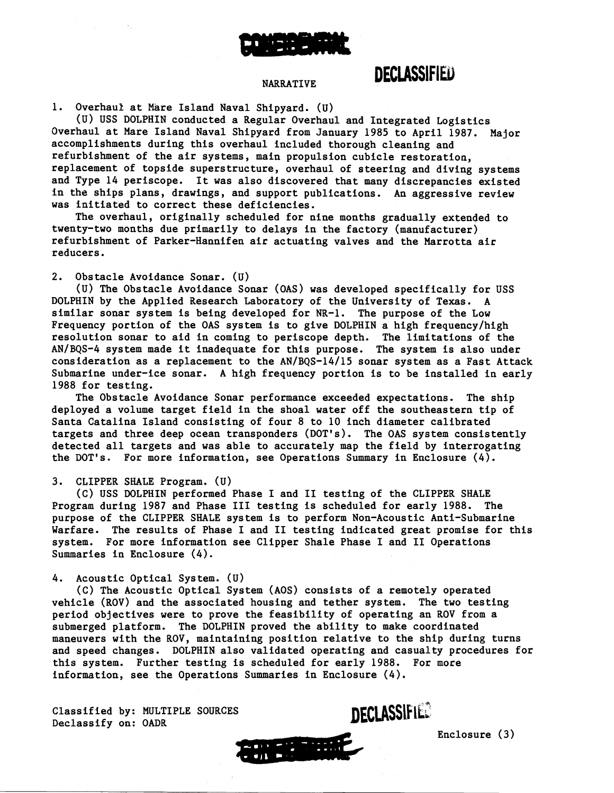

### **DECLASSIFIED**

#### NARRATIVE

1. Overhaul at Mare Island Naval Shipyard. (U)

(U) USS DOLPHIN conducted a Regular Overhaul and Integrated Logistics Overhaul at Mare Island Naval Shipyard from January 1985 to April 1987. Major accomplishments during this overhaul included thorough cleaning and refurbishment of the air systems, main propulsion cubicle restoration, replacement of topside superstructure, overhaul of steering and diving systems and Type 14 periscope. It was also discovered that many discrepancies existed in the ships plans, drawings, and support publications. An aggressive review was initiated to correct these deficiencies.

The overhaul, originally scheduled for nine months gradually extended to twenty-two months due primarily to delays in the factory (manufacturer) refurbishment of Parker-Hannifen air actuating valves and the Marrotta air reducers.

2. Obstacle Avoidance Sonar. (U)

(U) The Obstacle Avoidance Sonar (OAS) was developed specifically for USS DOLPHIN by the Applied Research Laboratory of the University of Texas. A similar sonar system is being developed for NR-1. The purpose of the Low Frequency portion of the OAS system is to give DOLPHIN a high frequency/high resolution sonar to aid in coming to periscope depth. The limitations of the AN/BQS-4 system made it inadequate for this purpose. The system is also under consideration as a replacement to the AN/BQS-14/15 sonar system as a Fast Attack Submarine under-ice sonar. A high frequency portion is to be installed in early 1988 for testing.

The Obstacle Avoidance Sonar performance exceeded expectations. The ship deployed a volume target field in the shoal water off the southeastern tip of Santa Catalina Island consisting of four 8 to 10 inch diameter calibrated targets and three deep ocean transponders (DOT'S). The OAS system consistently detected all targets and was able to accurately map the field by interrogating the DOT'S. For more information, see Operations Summary in Enclosure (4).

#### 3. CLIPPER SHALE Program. **(U)**

(C) USS DOLPHIN performed Phase I and I1 testing of the CLIPPER SHALE Program during 1987 and Phase 111 testing is scheduled for early 1988. The purpose of the CLIPPER SHALE system is to perform Non-Acoustic Anti-Submarine Warfare. The results of Phase I and I1 testing indicated great promise for this system. For more information see Clipper Shale Phase I and I1 Operations Summaries in Enclosure (4).

#### 4. Acoustic Optical System. (U)

(C) The Acoustic Optical System (AOS) consists of a remotely operated vehicle (ROV) and the associated housing and tether system. The two testing period objectives were to prove the feasibility of operating an ROV from a submerged platform. The DOLPHIN proved the ability to make coordinated maneuvers with the ROV, maintaining position relative to the ship during turns and speed changes. DOLPHIN also validated operating and casualty procedures for this system. Further testing is scheduled for early 1988. For more information, see the Operations Summaries in Enclosure (4).

Classified by: MULTIPLE SOURCES Declassifv on: OADR



Enclosure (3)

DECLASSIFIED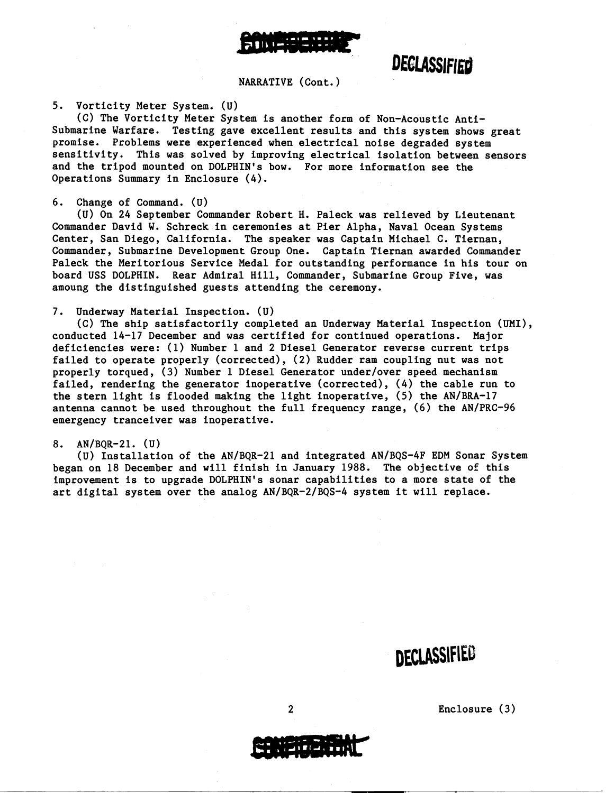

## DECLASSIFIED

NARRATIVE (Cont.)

5. Vorticity Meter System. (U)

(C) The Vorticity Meter System is another form of Non-Acoustic Antisubmarine Warfare. Testing gave excellent results and this system shows great promise. Problems were experienced when electrical noise degraded system sensitivity. This was solved by improving electrical isolation between sensors and the tripod mounted on DOLPHIN'S bow. For more information see the Operations Summary in Enclosure (4).

6. Change of Command. (U)

(U) On 24 September Commander Robert H. Paleck was relieved by Lieutenant Commander David W. Schreck in ceremonies at Pier Alpha, Naval Ocean Systems Center, San Diego, California. The speaker was Captain Michael C. Tiernan, Commander, Submarine Development Group One. Captain Tiernan awarded Commander Paleck the Meritorious Service Medal for outstanding performance in his tour on board USS DOLPHIN. Rear Admiral Hill, Commander, Submarine Group Five, was amoung the distinguished guests attending the ceremony.

#### 7. Underway Material Inspection. (U)

(C) The ship satisfactorily completed an Underway Material Inspection (UMI), conducted 14-17 December and was certified for continued operations. Major deficiencies were: (1) Number 1 and 2 Diesel Generator reverse current trips failed to operate properly (corrected), (2) Rudder ram coupling nut was not properly torqued, **(3)** Number 1 Diesel Generator underlover speed mechanism failed, rendering the generator inoperative (corrected), (4) the cable run to the stern light is flooded making the light inoperative, (5) the AN/BRA-17 antenna cannot be used throughout the full frequency range, (6) the AN/PRC-96 emergency tranceiver was inoperative.

#### 8.  $AN/BOR-21.$  (U)

(U) Installation of the AN/BQR-21 and integrated AN/BQS-4F EDM Sonar System began on 18 December and will finish in January 1988. The objective 05 this improvement is to upgrade DOLPHIN'S sonar capabilities to a more state of the art digital system over the analog  $AN/BQR-2/BOS-4$  system it will replace.

DECLASSIFIED

Enclosure (3)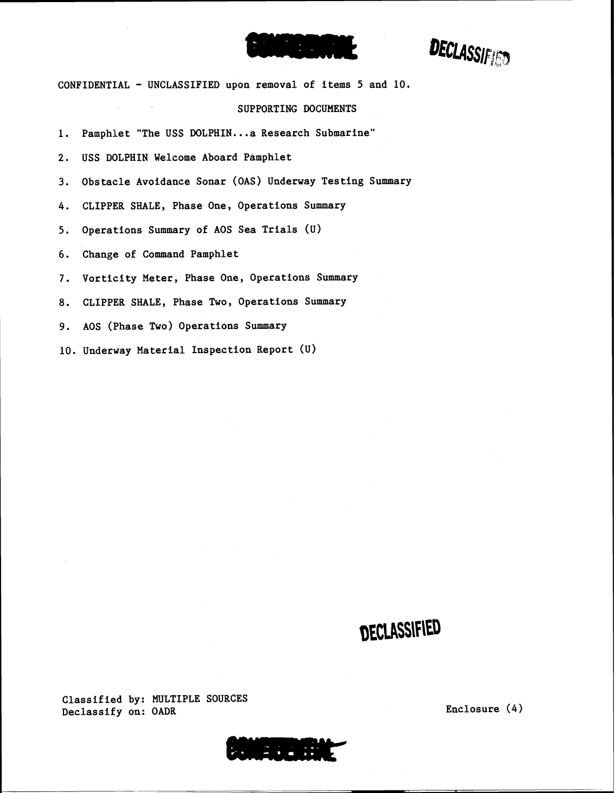# 

**DECLASSIFIED** 

CONFIDENTIAL - UNCLASSIFIED upon removal of items 5 and 10.

#### SUPPORTING DOCUMENTS

1, Pamphlet "The USS DOLPHIN...a Research Submarine"

2, USS DOLPHIN Welcome Aboard Pamphlet

**3.** Obstacle Avoidance Sonar (OAS) Underway Testing Summary

4. CLIPPER SHALE, Phase One, Operations Summary

5. Operations Summary of AOS Sea Trials **(U)** 

6. Change of Command Pamphlet

7. Vorticity Meter, Phase One, Operations Summary

8. CLIPPER SHALE, Phase Two, Operations Summary

9. AOS (Phase Two) Operations Summary

10. Underway Material Inspection Report (u)

# DECLASSIFIED

Classified by: MULTIPLE SOURCES Declassify on: OADR Enclosure (4)

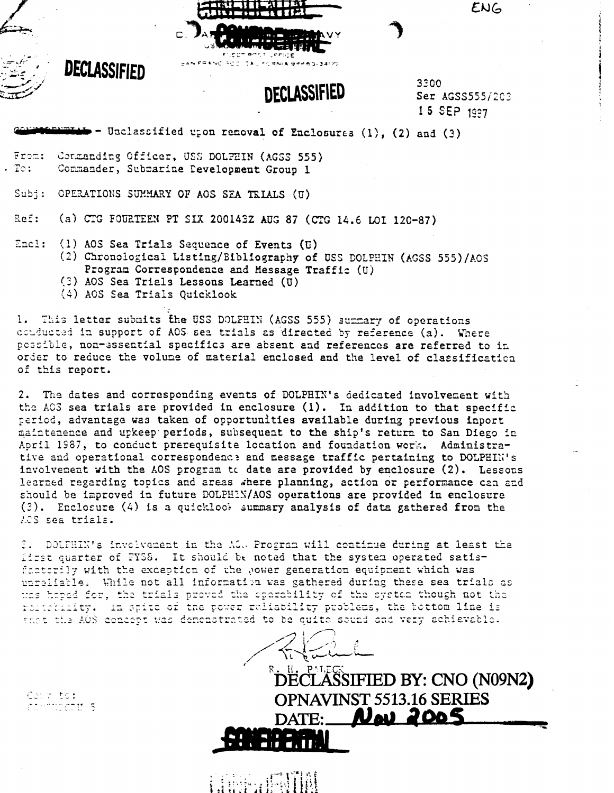

3300 Ser AGSS555/203 15 SEP 1997

ENG

- Unclassified upon removal of Enclosures (1), (2) and (3)

From: Commanding Officer, USS DOLPHIN (AGSS 555)  $.$  To: Commander, Submarine Pevelopment Group 1

Subj: OPERATIONS SUMMARY OF AOS SEA TEIALS (U)

(a) CTG FOURTEEN PT SIX 200143Z AUG 87 (CTG 14.6 LOI 120-87) Ref:

Encl: (1) AOS Sea Trials Sequence of Events (U) (2) Chronological Listing/Bibliography of USS DOLPHIN (AGSS 555)/AOS Program Correspondence and Message Traffic (U)

- (3) AOS Sea Trials Lessons Learned (U)
- (4) AOS Sea Trials Quicklook

1. This letter submits the USS DOLPHIN (AGSS 555) summary of operations conducted in support of AOS sea trials as directed by reference (a). Where possible, non-essential specifics are absent and references are referred to in order to reduce the volume of material enclosed and the level of classification of this report.

The dates and corresponding events of DOLPHIN's dedicated involvement with  $2.$ the ACS sea trials are provided in enclosure (1). In addition to that specific period, advantage was taken of opportunities available during previous inport maintenence and upkeep periods, subsequent to the ship's return to San Diego in April 1987, to conduct prerequisite location and foundation work. Administrative and operational correspondence and message traffic pertaining to DOLPHIN's involvement with the AOS program to date are provided by enclosure (2). Lessons learned regarding topics and areas where planning, action or performance can and should be improved in future DOLPHIN/AOS operations are provided in enclosure (3). Enclosure (4) is a quicklook summary analysis of data gathered from the ACS sea trials.

I. DOLFHIN's involvement in the ACO Program will continue during at least the first quarter of FYS8. It should be noted that the system operated satisfactorily with the exception of the power generation equipment which was unreliable. While not all information was gathered during these sea trials as uns hoped for, the trials proved the operability of the system though not the relicibility. In spite of the power reliability problems, the bottom line is that the AOS concept was demonstrated to be quite sound and very achievable.

**ŠSIFIED BY: CNO (N09N2) OPNAVINST 5513.16 SERIES** Neu 2005

Court to: commiscat 5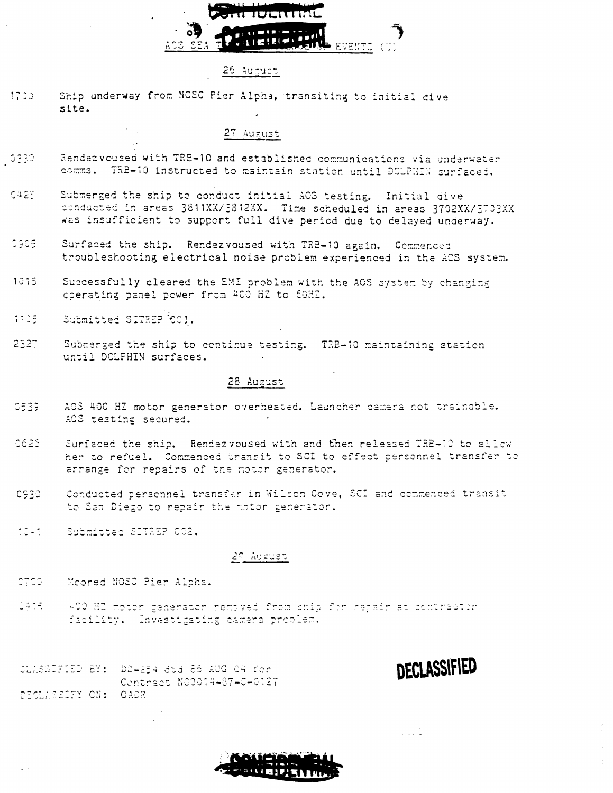

#### 26 August

 $1720$ Ship underway from NOSC Pier Alpha, transiting to initial dive site.

#### 27 August

- Rendezvoused with TRE-10 and established communications via underwater - 0330. comms. TR2-10 instructed to maintain station until DOLPHIN surfaced.
- Submerged the ship to conduct initial AOS testing. Initial dive CA2E. conducted in areas 3811XX/3812XX. Time scheduled in areas 3702XX/3703XX was insufficient to support full dive period due to delayed underway.
- $0305$ Surfaced the ship. Rendezvoused with TRE-10 again. Commenced troubleshooting electrical noise problem experienced in the AOS system.
- $1015$ Successfully cleared the EMI problem with the ACS system by changing operating panel power from 400 HZ to 60HZ.
- 1305 Submitted SITREP 001.
- $2327$ Submerged the ship to continue testing. TRB-10 maintaining station until DOLPHIN surfaces.

#### 28 August

- $C<sub>533</sub>$ AOS 400 HZ motor generator overheated. Launcher camera not trainable. AOS testing secured.
- 0626 Surfaced the ship. Rendezyoused with and then released TRE-10 to allow her to refuel. Commenced bransit to SCI to effect personnel transfer to arrange for repairs of the motor generator.
- Conducted personnel transfer in Wilson Cove, SCI and commenced transit CS30 to San Diego to repair the notor generator.
- noan. Submitted SITREP 002.

#### 29 August

- CTCO. Moored NOSC Pier Alpha.
- 3915 +00 HZ motor generator removed from ship for repair at contractor facility. Investigating camera problem.

JLASSIFIED BY: DD-254 dtd 86 AUG 04 for Contract N00014-87-0-0127 DECLASSIFY ON: OADR

**DECLASSIFIED** 

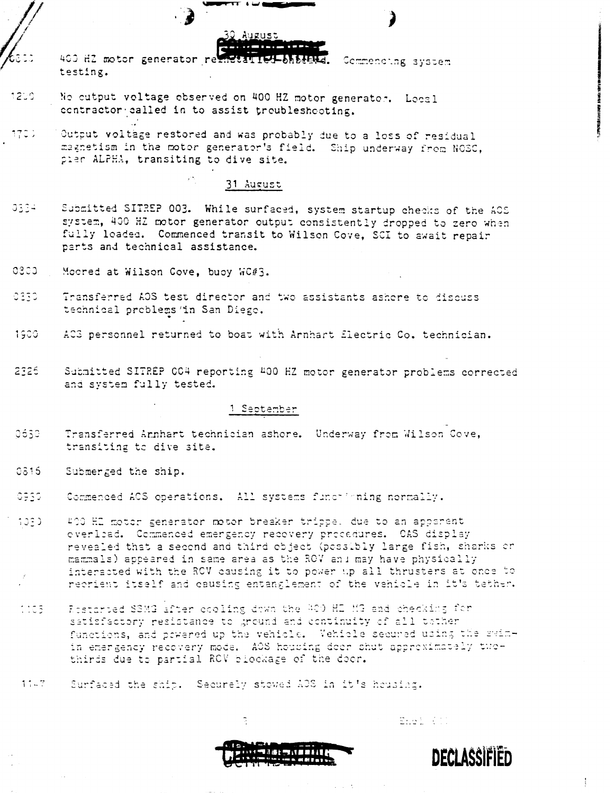400 HZ motor generator reinstatied-bhbeata. Commencing system testing.

- No cutput voltage observed on 400 HZ motor generator. Local 1200 contractor called in to assist troubleshooting.
- Output voltage restored and was probably due to a loss of residual  $1700$ magnetism in the motor generator's field. Ship underway from NOSC, pler ALPHA, transiting to dive site.

#### 31 August

- 0334 Submitted SITREP 003. While surfaced, system startup checks of the AOS system, 400 HZ motor generator output consistently dropped to zero when fully loaded. Commenced transit to Wilson Cove, SCI to await repair parts and technical assistance.
- $0300<sub>1</sub>$ Moored at Wilson Cove, buoy WC#3.
- 0330 Transferred AOS test director and two assistants ashere to discuss technical problems 'in San Diego.
- 1900. ACS personnel returned to boat with Arnhart flectric Co. technician.
- 2326 Submitted SITREP CO4 reporting 400 HZ motor generator problems corrected and system fully tested.

#### 1 September

- 0650 Transferred Arnhart technician ashore. Underway from Wilson Cove, transiting to dive site.
- 0815 Submerged the ship.
- 0930 Commenced ACS operations. All systems functioning normally.
- $1030$ 400 HL motor generator motor breaker trippe, due to an apparent overlied. Commenced emergency recovery procedures. CAS display revealed that a second and third object (possibly large fish, sharks or mammals) appeared in same area as the ROV and may have physically interacted with the ROV causing it to power up all thrusters at once to recrient itself and causing entanglement of the vehicle in it's tether.
- 1105 Restanced SSMG after cooling dawn the 400 HD MG and checking for satisfactory resistance to ground and continuity of all tother functions, and pewered up the vehicle. Vehicle secured using the swimin emergency recovery mode. AOS housing deer shut appreximately twothirds due to partial RCV blockage of the door.
- 1147 Surfaced the ship. Securely stowed AOS in it's housing.



Enel (11)



 $\mathbf{I}$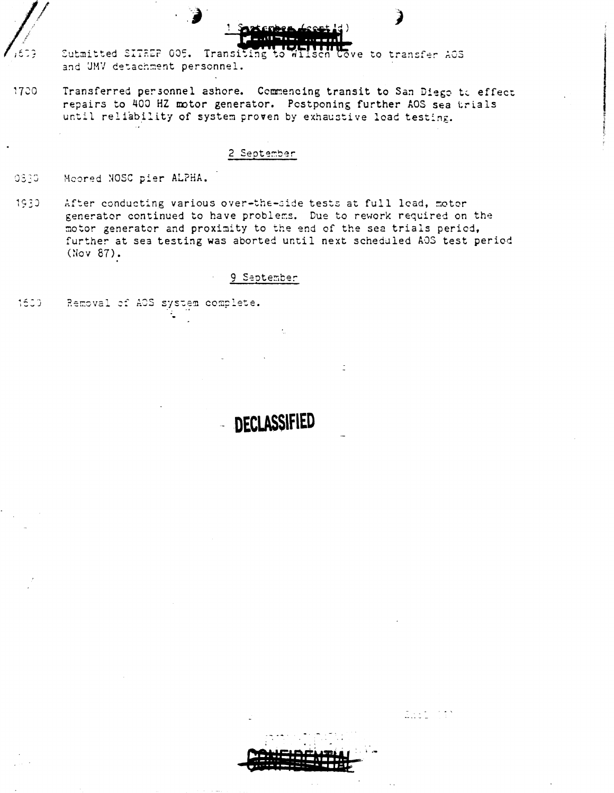

Submitted SITREP 005. Transiting to Wilsen Cove to transfer AOS and UMV detachment personnel.

 $17<sub>20</sub>$ Transferred personnel ashore. Commencing transit to San Diego to effect repairs to 400 HZ motor generator. Postponing further AOS sea trials until reliability of system proven by exhaustive load testing.

#### 2 September

- 0330 Moored NOSC pier ALPHA.
- 1930 After conducting various over-the-side tests at full lead, motor generator continued to have problems. Due to rework required on the motor generator and proximity to the end of the sea trials period, further at sea testing was aborted until next scheduled AOS test period  $(Nov 87)$ .

#### 9 September

**DECLASSIFIED** 

1600 Removal of AOS system complete.



Ensi (f)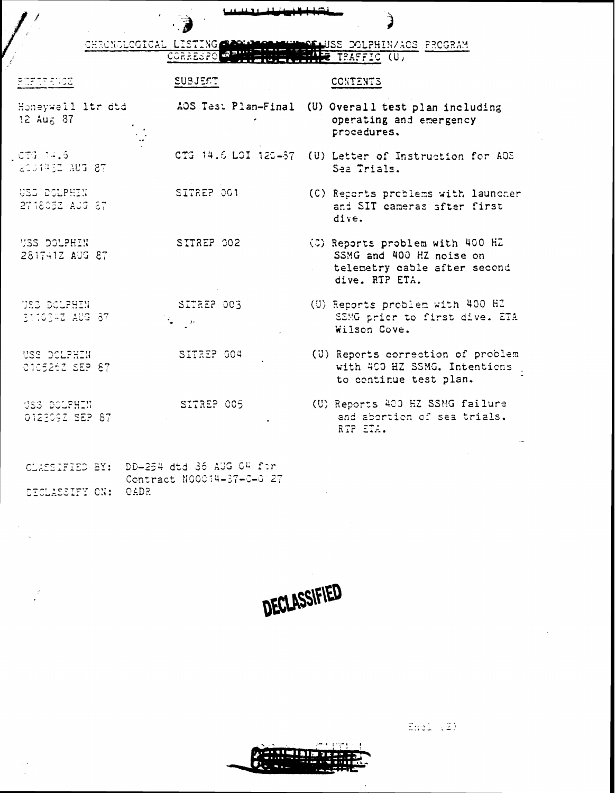| CHRONOLOGICAL LISTING CONNIGORATION AND DOLPHINAGOS PROGRAM |                                  |  |
|-------------------------------------------------------------|----------------------------------|--|
| <b>CORRESPO IN PINT</b>                                     | <b>CENTERUE LENE TRAFFIC (U)</b> |  |

ستستقف

 $\overline{\phantom{a}}$ 

 $\mathbf{C}$ 

المقطعة

| <b>ECFEPENCE</b>                             | SUBJECT                                      | CONTENTS                                                                                                      |
|----------------------------------------------|----------------------------------------------|---------------------------------------------------------------------------------------------------------------|
| Honeywell ltr dtd<br>$12 \text{ Au} \leq 87$ |                                              | AOS Test Plan-Final (U) Overall test plan including<br>operating and emergency<br>procedures.                 |
| $CTG-14.5$<br>200443Z AUG 87                 |                                              | CTG 14.6 LOI 120-67 (U) Letter of Instruction for AOS<br>Sea Trials.                                          |
| USS DOLPHIN<br>271805Z AUG 87                | SITREP 001                                   | (C) Reports problems with launcher<br>and SIT cameras after first<br>dive.                                    |
| <b>USS DOLPHIN</b><br>281741Z AUG 87         | SITREP 002                                   | (C) Reports problem with 400 HZ<br>SSMG and 400 HZ noise on<br>telemetry cable after second<br>dive. RTP ETA. |
| USS DOLFHIN<br>311634Z AUG 87                | SITREP 003<br>$\frac{1}{2} \sum_{i=1}^n p_i$ | (U) Reports problem with 400 HZ<br>SSMG prior to first dive. ETA<br>Wilson Cove.                              |
| USS DOLPHIN<br>010526Z SEP 87                | SITREP 004                                   | (U) Reports correction of problem<br>with 400 HZ SSMG. Intentions<br>to continue test plan.                   |
| USS DOLPHIN<br>012309Z SEP 87                | SITREP 005                                   | (U) Reports 400 HZ SSMG failure<br>and abortion of sea trials.<br>RTP ETA.                                    |
| CLASSIFIED BY: DD-254 dtd 36 AUG 04 for      |                                              |                                                                                                               |

Contract N00014-37-0-0 27

DECLASSIFY ON: OADR

DECLASSIFIED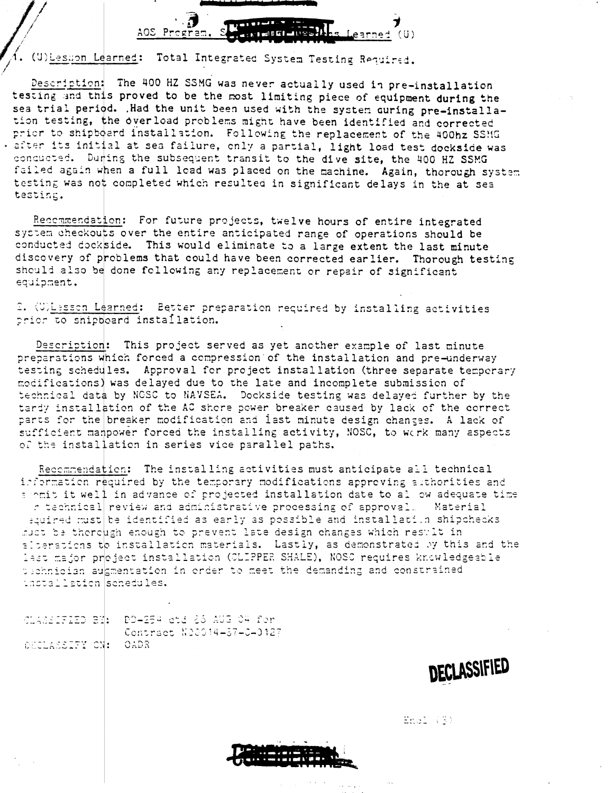

(U) Lesson Learned: Total Integrated System Testing Required.

Description: The 400 HZ SSMG was never actually used in pre-installation testing and this proved to be the most limiting piece of equipment during the sea trial period. .Had the unit been used with the system curing pre-installation testing, the overload problems might have been identified and corrected prior to shipboard installation. Following the replacement of the 400hz SSMG . after its initial at sea failure, only a partial, light load test dockside was concucted. During the subsequent transit to the dive site, the 400 HZ SSMG failed again when a full load was placed on the machine. Again, thorough system testing was not completed which resulted in significant delays in the at sea testing.

Recommendation: For future projects, twelve hours of entire integrated system checkouts over the entire anticipated range of operations should be conducted dockside. This would eliminate to a large extent the last minute discovery of problems that could have been corrected earlier. Thorough testing should also be done following any replacement or repair of significant equipment.

2. (U)Lesson Learned: Eetter preparation required by installing activities prior to shipboard installation.

Description: This project served as yet another example of last minute preparations which forced a compression of the installation and pre-underway testing schedules. Approval for project installation (three separate temperary modifications) was delayed due to the late and incomplete submission of technical data by NCSC to NAVSEA. Dockside testing was delayed further by the tardy installation of the AC shore power breaker caused by lack of the correct parts for the breaker modification and last minute design changes. A lack of sufficient manpower forced the installing activity, NOSC, to work many aspects of the installation in series vice parallel paths.

Recommendation: The installing activities must anticipate all technical information required by the temporary modifications approving authorities and soomit it well in advance of projected installation date to allow adequate time c technical review and administrative processing of approval. Material souired must be identified as early as possible and installation shipchecks must be therough enough to prevent late design changes which result in alterations to installation materials. Lastly, as demonstrated by this and the last major project installation (CLIPPER SHALE), NOSC requires knowledgeable pechnician augmentation in order to meet the demanding and constrained installation schedules.

CLASSIFIED BM: DD-254 atd 86 AUG 04 fer Contract N20014-57-0-0127 DECLASSIFY CN: OADR

DECLASSIFIED

Enel (3)

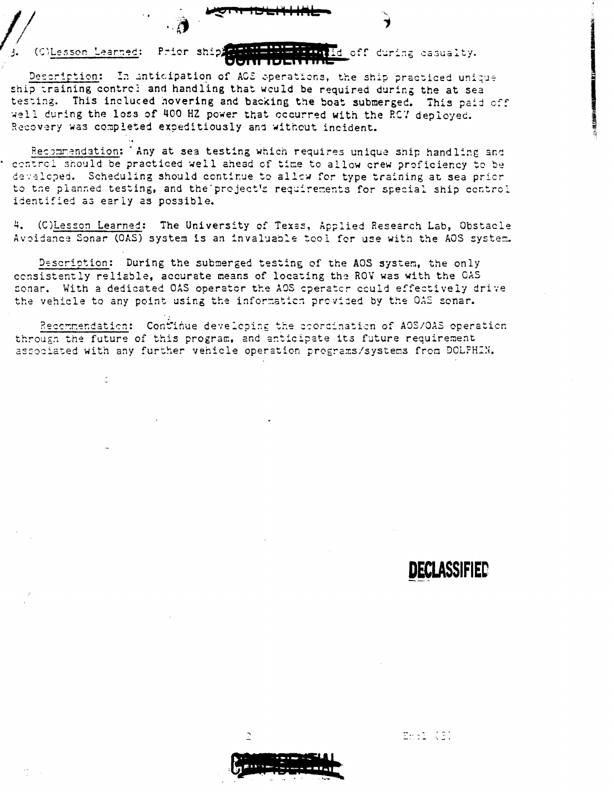#### (C)Lesson Learned: Prior ship Id off during casualty.

Description: In anticipation of AOS operations, the ship practiced unique ship training contre! and handling that would be required during the at sea testing. This incluced hovering and backing the boat submerged. This paid off well during the loss of 400 HZ power that occurred with the RCV deployed. Recovery was completed expeditiously and without incident.

Recommendation: Any at sea testing which requires unique ship handling and control should be practiced well ahead of time to allow crew proficiency to be developed. Scheduling should continue to allow for type training at sea prior to the planned testing, and the project's requirements for special ship control identified as early as possible.

4. (C)Lesson Learned: The University of Texas, Applied Research Lab, Obstacle Avoidance Sonar (OAS) system is an invaluable tool for use with the AOS system.

Description: During the submerged testing of the AOS system, the only consistently reliable, accurate means of locating the ROV was with the CAS sonar. With a dedicated OAS operator the AOS operator could effectively drive the vehicle to any point using the information provided by the OAS sonar.

Recommendation: Continue developing the coordination of AOS/OAS operation through the future of this program, and anticipate its future requirement associated with any further vehicle operation programs/systems from DOLPHIN.

## DECLASSIFIED

Embi (S)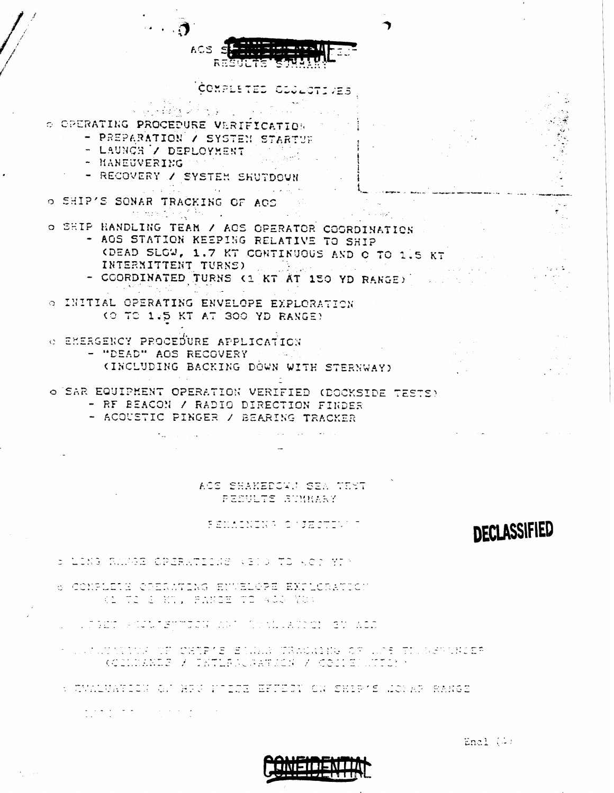

- COORDINATED TURNS (1 KT AT 150 YD RANGE) O INITIAL OPERATING ENVELOPE EXPLORATION
	- (O TO 1.5 KT AT 300 YD RANGE)
- **C EMERGENCY PROCEDURE APPLICATION** - "DEAD" AOS RECOVERY
	- (INCLUDING BACKING DÒWN WITH STERNWAY)
- o SAR EQUIPMENT OPERATION VERIFIED (DOCKSIDE TESTS)
	- RF BEACON / RADIO DIRECTION FINDER
	- ACOUSTIC PINGER / BEARING TRACKER

#### ACS SHAKEDOWN SEA TEST PESULTS SUMMARY

and the state of the state of the

#### FEMALYINA CAJECTIVA

## DECLASSIFIED

- S LONG RANGE CRERATIONS (810 TO ACT YI)
- 6 CONFLETE CREAMWING ENVELOPE EXPLORATION **RANTE & MT, PANGE TO ACO YOU**
- المنظر والمنتهجات ومراجعة والمنتجز والمنابل منتجز المتماسيس منطوب والمرمزي السلطانية المنابل المنظرية
- I DE SAN STRIKT OM OVER 18 BILLE TRAGGENS OF LIJS TILLES DER ER KODLILANDE / TRTLESCGATICH / CODIEDICTOR /
- S CMALUATICH OF HEW HUIZE EFUECT ON SHIP'S LONAR RANGE
	- $\frac{1}{\sqrt{2}}\sum_{i=1}^n\frac{1}{\sqrt{2}}\sum_{i=1}^n\frac{1}{\sqrt{2}}\sum_{i=1}^n\frac{1}{\sqrt{2}}\sum_{i=1}^n\frac{1}{\sqrt{2}}\sum_{i=1}^n\frac{1}{\sqrt{2}}\sum_{i=1}^n\frac{1}{\sqrt{2}}\sum_{i=1}^n\frac{1}{\sqrt{2}}\sum_{i=1}^n\frac{1}{\sqrt{2}}\sum_{i=1}^n\frac{1}{\sqrt{2}}\sum_{i=1}^n\frac{1}{\sqrt{2}}\sum_{i=1}^n\frac{1}{\sqrt{2}}\$

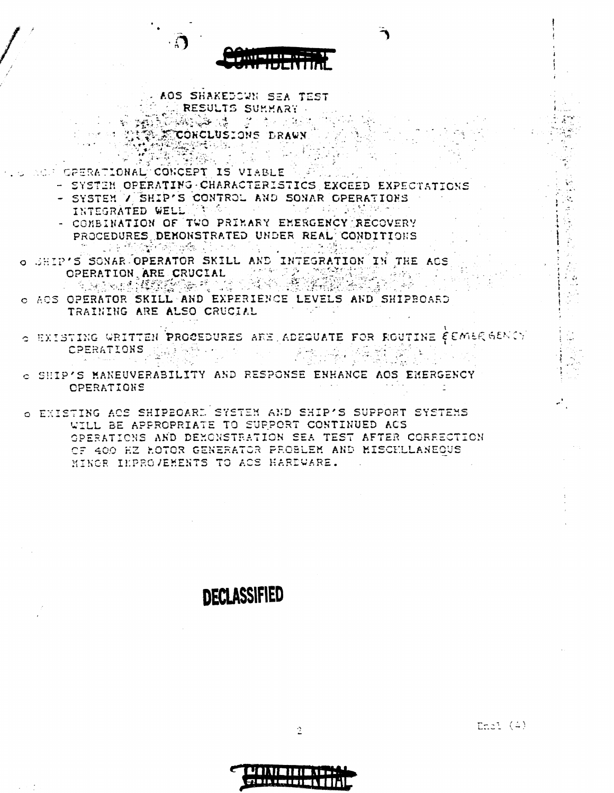

**AOS SHAKEDOWN SEA TEST** CONNECTIONS SUMMARY <u> 1994 - 1994 - 1995 - 1999 - 1999 - 1999 - 1999 - 1999 - 1999 - 1999 - 1999 - 1999 - 1999 - 1999 - 1999 - 199</u>

- CONCLUSIONS DRAWN **있는데 이번**
- OPERATIONAL CONCEPT IS VIABLE

- SYSTEM OPERATING CHARACTERISTICS EXCEED EXPECTATIONS
- SYSTEM V SHIP'S CONTROL AND SONAR OPERATIONS INTEGRATED WELL ING **Carl**os 이 없이 좋아서 그 사람들이 아니?
- COMBINATION OF TWO PRIMARY EMERGENCY RECOVERY PROCEDURES DENONSTRATED UNDER REAL CONDITIONS 第152 . 나는 '한국화 43만 44만 있는 아이' 이 아이 i vie
- O JHIP'S SONAR OPERATOR SKILL AND INTEGRATION IN THE ACS OPERATION ARE CRUCIAL
- ACS OPERATOR SKILL AND EXPERIENCE LEVELS AND SHIPBOARD TRAINING ARE ALSO CRUCIAL
- $\circ$  existing written procedures are adequate for foutine  $\epsilon$  emaggency CPERATIONS [1, 부분 동생 나는 사람이 아니다. 主观线 。  $\mathcal{O}(\mathfrak{u} \times \mathfrak{f})$

TIN 2019 - 2019 부분

- O SHIP'S MANEUVERABILITY AND RESPONSE ENHANCE AOS EMERGENCY **OPERATIONS**
- O EXISTING ACS SHIPEOARD SYSTEM AND SHIP'S SUPPORT SYSTEMS WILL BE APPROPRIATE TO SUPPORT CONTINUED ACS OPERATIONS AND DEMONSTRATION SEA TEST AFTER CORRECTION OF 400 HZ HOTOR GENERATOR PROBLEM AND MISCHLLANEOUS MINOR IMPROVEMENTS TO ACS HARDWARE.

## **DECLASSIFIED**

 $Ent(4)$ 



2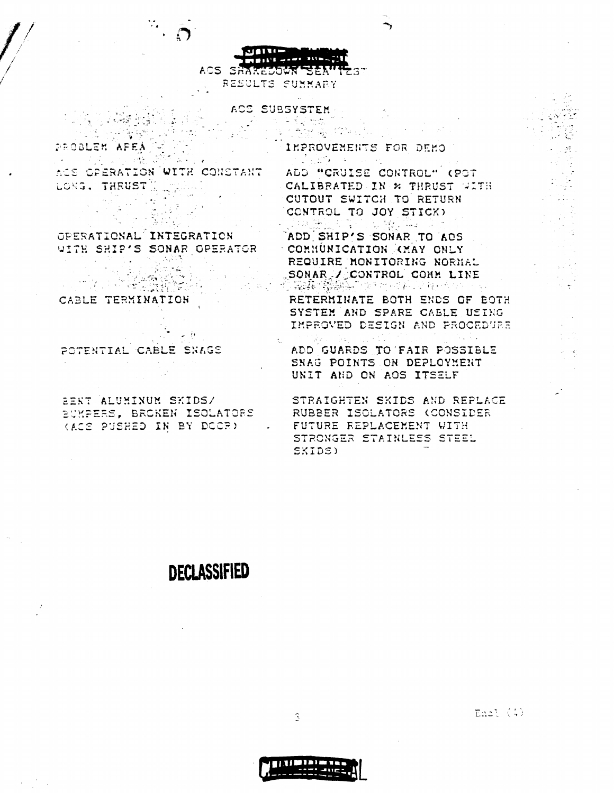ACS SHAKEDOWN SEAMTEST RESULTS SUNNARY

> ACS SUBSYSTEM 一点 医检验检验

이 <u>1999년</u> (1999년)

PROBLEM AFEA 

ACS OPERATION WITH CONSTANT LONG. THRUST المتنك 

WITH SHIP'S SONAR OPERATOR COMMUNICATION CMAY ONLY sternatoi<br>Startista<br>Startista

 $\mathcal{A} \cup \mathcal{A}$ 

 $\sim 10$ 

CABLE TERMINATION

 $\mathcal{M}_{\rm eff} = 100$ 

POTENTIAL CABLE SNAGS

in Li

 $\mathcal{L}^{\mathcal{L}}(\mathcal{L}^{\mathcal{L}}(\mathcal{L}^{\mathcal{L}}(\mathcal{L}^{\mathcal{L}}(\mathcal{L}^{\mathcal{L}}(\mathcal{L}^{\mathcal{L}}(\mathcal{L}^{\mathcal{L}}(\mathcal{L}^{\mathcal{L}}(\mathcal{L}^{\mathcal{L}}(\mathcal{L}^{\mathcal{L}}(\mathcal{L}^{\mathcal{L}}(\mathcal{L}^{\mathcal{L}}(\mathcal{L}^{\mathcal{L}}(\mathcal{L}^{\mathcal{L}}(\mathcal{L}^{\mathcal{L}}(\mathcal{L}^{\mathcal{L}}(\mathcal{L}^{\mathcal{L$ 

EERT ALUMINUM SKIDS/ EUMPERS, BROKEN ISOLATORS (ACS PUSHED IN BY DOOR) IMPROVEMENTS FOR DEMO 

<u> 자료 등</u> 44km/www.com

ADD "CRUISE CONTROL" (POT CALIBRATED IN \* THRUST WITH CUTOUT SWITCH TO RETURN CONTROL TO JOY STICK)

Sang 2019年1月11日 OPERATIONAL INTEGRATION ADD SHIP'S SONAR TO ACS REQUIRE MONITORING NORMAL SONAR / CONTROL CONN LINE

RETERMINATE BOTH ENDS OF BOTH SYSTEM AND SPARE CABLE USING IMPROVED DESIGN AND PROCEDURE

ADD GUARDS TO FAIR POSSIBLE SNAG POINTS ON DEPLOYMENT UNIT AND ON AOS ITSELF

STRAIGHTEN SKIDS AND REPLACE RUBBER ISOLATORS (CONSIDER FUTURE REPLACEMENT WITH STRONGER STAINLESS STEEL SKIDS)

## **DECLASSIFIED**

Enal (4)



3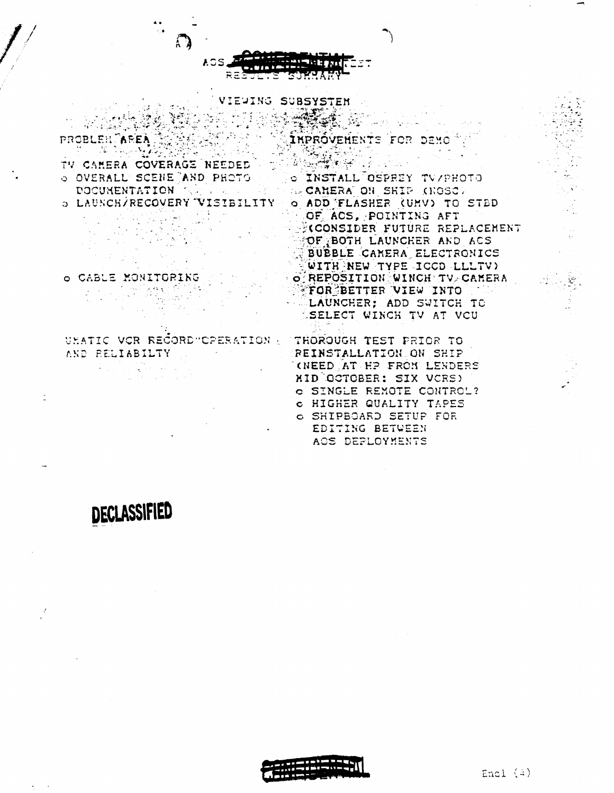

#### VIEUING SUBSYSTEM

THE RESERVE TO THE RESIDENCE OF THE RESERVE TO THE RESERVE TO THE RESERVE TO THE RESERVE TO THE RESERVE TO THE O OVERALL SCENE AND PHOTO OF TNSTALL OSPREY TV/PHOTO DOCUMENTATION TRAIN AND THE REAGANERATION SHIP (NOSC)

 $\label{eq:2.1} \frac{1}{2} \left( \frac{1}{2} \frac{1}{2} \left( \frac{1}{2} \right) - \frac{1}{2} \left( \frac{1}{2} \right) \right)$ 

O CABLE MONITORING 

UHATIC VOR RECORD "CPERATION : TROROUGH TEST PRIOR TO and the property of the control of AND RELIABILTY ...

INPROVENENTS FOR DENO<sup>R</sup>

O LAUNCH/RECOVERY VISIBILITY O ADD FLASHER (UMV) TO STBD OF ACS, POINTING AFT KCONSIDER FUTURE REPLACEMENT **BOF BOTH LAUNCHER AND ACS** BUBBLE CAMERA ELECTRONICS **WITH NEW TYPE ICCD LLLTV)** O REPOSITION WINCH TV CAMERA FOR BETTER VIEW INTO LAUNCHER; ADD SWITCH TO *SELECT WINCH TV AT VCU* 

> **REINSTALLATION ON SHIP** CNEED AT HP FROM LENDERS MID OCTOBER: SIX VCRS) O SINGLE REMOTE CONTROL? C HIGHER QUALITY TAPES o SHIPBOARD SETUP FOR EDITING BETWEEN AOS DEPLOYMENTS

# DECLASSIFIED



Encl (4)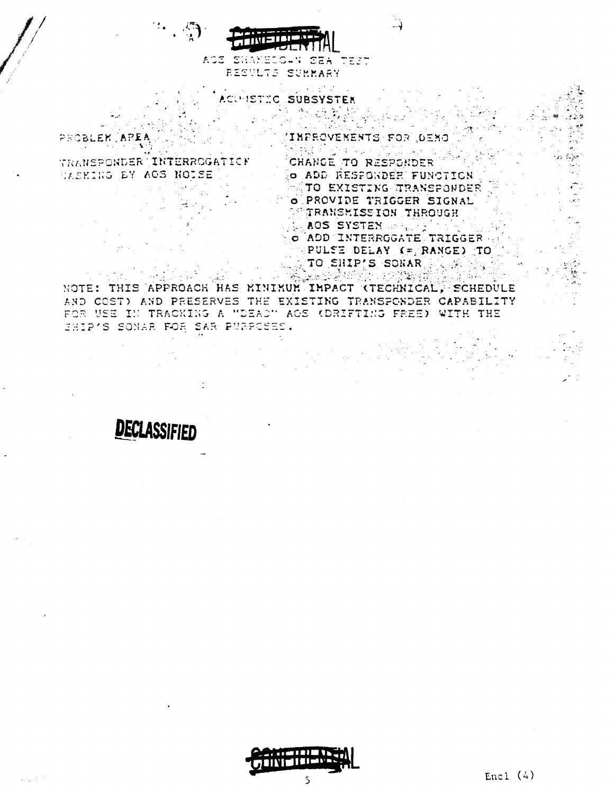

AGE SHAKELOWN SEA TEST RESULTS SUMMARY

 $\mathsf{C}$ **SUBSYSTER** 

INPROVENENTS FOR , DENO PROBLEK 

TRANSPONDER TINTERROGATION RASKING BY AGS NOISE  $\mathcal{L}_{\mathcal{L}}$ 

CHANGE TO RESPONDER O ADD RESPONDER FUNCTION TO EXISTING TRANSPONDER O PROVIDE TRIGGER SIGNAL TRANSMISSION THROUGH **LAOS SYSTEN AREA COM** O ADD INTERROGATE TRIGGER PULSE DELAY (= RANGE) TO

TO SHIP'S SONAR ؆<sup>۩</sup>؉؇ۼ<u>ڗؿٷ</u> - 1992

NOTE: THIS APPROACH HAS MINIMUM IMPACT (TECHNICAL) SCHEDULE AND COST) AND PRESERVES THE EXISTING TRANSPONDER CAPABILITY FOR USE IN TRACKING A "DEAD" AGS (DRIFTING FREE) WITH THE SHIP'S SONAR FOR SAR PURPOSES.